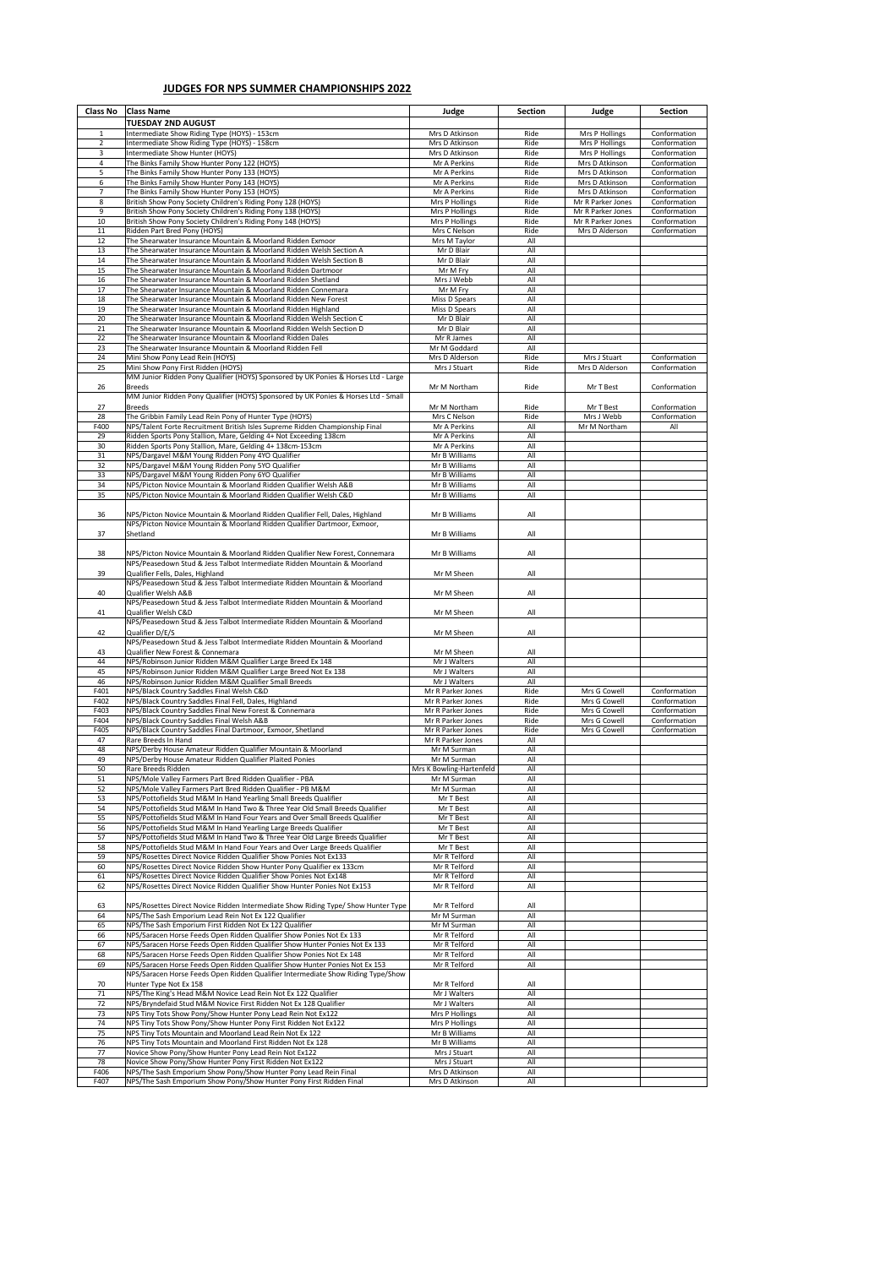| <b>Class No</b> | <b>Class Name</b>                                                                                                                                           | Judge                                   | <b>Section</b> | Judge                                  | <b>Section</b>               |
|-----------------|-------------------------------------------------------------------------------------------------------------------------------------------------------------|-----------------------------------------|----------------|----------------------------------------|------------------------------|
| $\mathbf{1}$    | <b>TUESDAY 2ND AUGUST</b><br>Intermediate Show Riding Type (HOYS) - 153cm                                                                                   | Mrs D Atkinson                          | Ride           | Mrs P Hollings                         | Conformation                 |
| $\overline{2}$  | Intermediate Show Riding Type (HOYS) - 158cm                                                                                                                | Mrs D Atkinson                          | Ride           | Mrs P Hollings                         | Conformation                 |
| $\overline{3}$  | Intermediate Show Hunter (HOYS)                                                                                                                             | Mrs D Atkinson                          | Ride           | Mrs P Hollings                         | Conformation                 |
| $\overline{4}$  | The Binks Family Show Hunter Pony 122 (HOYS)                                                                                                                | Mr A Perkins                            | Ride           | Mrs D Atkinson                         | Conformation                 |
| 5<br>6          | The Binks Family Show Hunter Pony 133 (HOYS)<br>The Binks Family Show Hunter Pony 143 (HOYS)                                                                | Mr A Perkins<br>Mr A Perkins            | Ride<br>Ride   | Mrs D Atkinson<br>Mrs D Atkinson       | Conformation<br>Conformation |
| $\overline{7}$  | The Binks Family Show Hunter Pony 153 (HOYS)                                                                                                                | Mr A Perkins                            | Ride           | Mrs D Atkinson                         | Conformation                 |
| 8               | British Show Pony Society Children's Riding Pony 128 (HOYS)                                                                                                 | Mrs P Hollings                          | Ride           | Mr R Parker Jones                      | Conformation                 |
| 9<br>10         | British Show Pony Society Children's Riding Pony 138 (HOYS)                                                                                                 | Mrs P Hollings<br>Mrs P Hollings        | Ride<br>Ride   | Mr R Parker Jones<br>Mr R Parker Jones | Conformation<br>Conformation |
| 11              | British Show Pony Society Children's Riding Pony 148 (HOYS)<br>Ridden Part Bred Pony (HOYS)                                                                 | Mrs C Nelson                            | Ride           | Mrs D Alderson                         | Conformation                 |
| 12              | The Shearwater Insurance Mountain & Moorland Ridden Exmoor                                                                                                  | Mrs M Taylor                            | All            |                                        |                              |
| 13              | The Shearwater Insurance Mountain & Moorland Ridden Welsh Section A                                                                                         | Mr D Blair                              | All            |                                        |                              |
| 14<br>15        | The Shearwater Insurance Mountain & Moorland Ridden Welsh Section B<br>The Shearwater Insurance Mountain & Moorland Ridden Dartmoor                         | Mr D Blair<br>Mr M Fry                  | All<br>All     |                                        |                              |
| 16              | The Shearwater Insurance Mountain & Moorland Ridden Shetland                                                                                                | Mrs J Webb                              | All            |                                        |                              |
| 17              | The Shearwater Insurance Mountain & Moorland Ridden Connemara                                                                                               | Mr M Fry                                | All            |                                        |                              |
| 18              | The Shearwater Insurance Mountain & Moorland Ridden New Forest                                                                                              | Miss D Spears                           | All            |                                        |                              |
| 19<br>20        | The Shearwater Insurance Mountain & Moorland Ridden Highland<br>The Shearwater Insurance Mountain & Moorland Ridden Welsh Section C                         | Miss D Spears<br>Mr D Blair             | All<br>All     |                                        |                              |
| 21              | The Shearwater Insurance Mountain & Moorland Ridden Welsh Section D                                                                                         | Mr D Blair                              | All            |                                        |                              |
| 22              | The Shearwater Insurance Mountain & Moorland Ridden Dales                                                                                                   | Mr R James                              | All            |                                        |                              |
| 23              | The Shearwater Insurance Mountain & Moorland Ridden Fell                                                                                                    | Mr M Goddard                            | All            |                                        |                              |
| 24<br>25        | Mini Show Pony Lead Rein (HOYS)<br>Mini Show Pony First Ridden (HOYS)                                                                                       | Mrs D Alderson<br>Mrs J Stuart          | Ride<br>Ride   | Mrs J Stuart<br>Mrs D Alderson         | Conformation<br>Conformation |
|                 | MM Junior Ridden Pony Qualifier (HOYS) Sponsored by UK Ponies & Horses Ltd - Large                                                                          |                                         |                |                                        |                              |
| 26              | <b>Breeds</b>                                                                                                                                               | Mr M Northam                            | Ride           | Mr T Best                              | Conformation                 |
|                 | MM Junior Ridden Pony Qualifier (HOYS) Sponsored by UK Ponies & Horses Ltd - Small                                                                          |                                         |                |                                        |                              |
| 27<br>28        | <b>Breeds</b>                                                                                                                                               | Mr M Northam<br>Mrs C Nelson            | Ride<br>Ride   | Mr T Best<br>Mrs J Webb                | Conformation<br>Conformation |
| F400            | The Gribbin Family Lead Rein Pony of Hunter Type (HOYS)<br>NPS/Talent Forte Recruitment British Isles Supreme Ridden Championship Final                     | Mr A Perkins                            | All            | Mr M Northam                           | All                          |
| 29              | Ridden Sports Pony Stallion, Mare, Gelding 4+ Not Exceeding 138cm                                                                                           | Mr A Perkins                            | All            |                                        |                              |
| 30              | Ridden Sports Pony Stallion, Mare, Gelding 4+ 138cm-153cm                                                                                                   | Mr A Perkins                            | All            |                                        |                              |
| 31              | NPS/Dargavel M&M Young Ridden Pony 4YO Qualifier                                                                                                            | Mr B Williams                           | All            |                                        |                              |
| 32              | NPS/Dargavel M&M Young Ridden Pony 5YO Qualifier                                                                                                            | Mr B Williams<br>Mr B Williams          | All<br>All     |                                        |                              |
| 33<br>34        | NPS/Dargavel M&M Young Ridden Pony 6YO Qualifier<br>NPS/Picton Novice Mountain & Moorland Ridden Qualifier Welsh A&B                                        | Mr B Williams                           | All            |                                        |                              |
| 35              | NPS/Picton Novice Mountain & Moorland Ridden Qualifier Welsh C&D                                                                                            | Mr B Williams                           | All            |                                        |                              |
|                 |                                                                                                                                                             |                                         |                |                                        |                              |
| 36              | NPS/Picton Novice Mountain & Moorland Ridden Qualifier Fell, Dales, Highland                                                                                | Mr B Williams                           | All            |                                        |                              |
| 37              | NPS/Picton Novice Mountain & Moorland Ridden Qualifier Dartmoor, Exmoor,<br>Shetland                                                                        | Mr B Williams                           | All            |                                        |                              |
|                 |                                                                                                                                                             |                                         |                |                                        |                              |
| 38              | NPS/Picton Novice Mountain & Moorland Ridden Qualifier New Forest, Connemara                                                                                | Mr B Williams                           | All            |                                        |                              |
|                 | NPS/Peasedown Stud & Jess Talbot Intermediate Ridden Mountain & Moorland                                                                                    |                                         |                |                                        |                              |
| 39              | Qualifier Fells, Dales, Highland                                                                                                                            | Mr M Sheen                              | All            |                                        |                              |
| 40              | NPS/Peasedown Stud & Jess Talbot Intermediate Ridden Mountain & Moorland<br>Qualifier Welsh A&B                                                             | Mr M Sheen                              | All            |                                        |                              |
|                 | NPS/Peasedown Stud & Jess Talbot Intermediate Ridden Mountain & Moorland                                                                                    |                                         |                |                                        |                              |
| 41              | Qualifier Welsh C&D                                                                                                                                         | Mr M Sheen                              | All            |                                        |                              |
|                 | NPS/Peasedown Stud & Jess Talbot Intermediate Ridden Mountain & Moorland                                                                                    |                                         |                |                                        |                              |
| 42              | Qualifier D/E/S                                                                                                                                             | Mr M Sheen                              | All            |                                        |                              |
| 43              | NPS/Peasedown Stud & Jess Talbot Intermediate Ridden Mountain & Moorland<br>Qualifier New Forest & Connemara                                                | Mr M Sheen                              | All            |                                        |                              |
| 44              | NPS/Robinson Junior Ridden M&M Qualifier Large Breed Ex 148                                                                                                 | Mr J Walters                            | All            |                                        |                              |
| 45              | NPS/Robinson Junior Ridden M&M Qualifier Large Breed Not Ex 138                                                                                             | Mr J Walters                            | All            |                                        |                              |
| 46              | NPS/Robinson Junior Ridden M&M Qualifier Small Breeds                                                                                                       | Mr J Walters                            | All            |                                        |                              |
| F401            | NPS/Black Country Saddles Final Welsh C&D                                                                                                                   | Mr R Parker Jones                       | Ride           | Mrs G Cowell                           | Conformation                 |
| F402<br>F403    | NPS/Black Country Saddles Final Fell, Dales, Highland<br>NPS/Black Country Saddles Final New Forest & Connemara                                             | Mr R Parker Jones<br>Mr R Parker Jones  | Ride<br>Ride   | Mrs G Cowell<br>Mrs G Cowell           | Conformation<br>Conformation |
| F404            | NPS/Black Country Saddles Final Welsh A&B                                                                                                                   | Mr R Parker Jones                       | Ride           | Mrs G Cowell                           | Conformation                 |
| F405            | NPS/Black Country Saddles Final Dartmoor, Exmoor, Shetland                                                                                                  | Mr R Parker Jones                       | Ride           | Mrs G Cowell                           | Conformation                 |
| 47              | Rare Breeds In Hand                                                                                                                                         | Mr R Parker Jones                       | All            |                                        |                              |
| 48              | NPS/Derby House Amateur Ridden Qualifier Mountain & Moorland                                                                                                | Mr M Surman                             | All            |                                        |                              |
| 49<br>50        | NPS/Derby House Amateur Ridden Qualifier Plaited Ponies<br>Rare Breeds Ridden                                                                               | Mr M Surman<br>Mrs K Bowling-Hartenfeld | All<br>All     |                                        |                              |
| 51              | NPS/Mole Valley Farmers Part Bred Ridden Qualifier - PBA                                                                                                    | Mr M Surman                             | All            |                                        |                              |
| 52              | NPS/Mole Valley Farmers Part Bred Ridden Qualifier - PB M&M                                                                                                 | Mr M Surman                             | All            |                                        |                              |
| 53              | NPS/Pottofields Stud M&M In Hand Yearling Small Breeds Qualifier                                                                                            | Mr T Best                               | All            |                                        |                              |
| 54<br>55        | NPS/Pottofields Stud M&M In Hand Two & Three Year Old Small Breeds Qualifier<br>NPS/Pottofields Stud M&M In Hand Four Years and Over Small Breeds Qualifier | Mr T Best<br>Mr T Best                  | All<br>All     |                                        |                              |
| 56              | NPS/Pottofields Stud M&M In Hand Yearling Large Breeds Qualifier                                                                                            | Mr T Best                               | All            |                                        |                              |
| 57              | NPS/Pottofields Stud M&M In Hand Two & Three Year Old Large Breeds Qualifier                                                                                | Mr T Best                               | All            |                                        |                              |
| 58              | NPS/Pottofields Stud M&M In Hand Four Years and Over Large Breeds Qualifier                                                                                 | Mr T Best                               | All            |                                        |                              |
| 59              | NPS/Rosettes Direct Novice Ridden Qualifier Show Ponies Not Ex133                                                                                           | Mr R Telford                            | All            |                                        |                              |
| 60<br>61        | NPS/Rosettes Direct Novice Ridden Show Hunter Pony Qualifier ex 133cm<br>NPS/Rosettes Direct Novice Ridden Qualifier Show Ponies Not Ex148                  | Mr R Telford<br>Mr R Telford            | All<br>All     |                                        |                              |
| 62              | NPS/Rosettes Direct Novice Ridden Qualifier Show Hunter Ponies Not Ex153                                                                                    | Mr R Telford                            | All            |                                        |                              |
|                 |                                                                                                                                                             |                                         |                |                                        |                              |
| 63              | NPS/Rosettes Direct Novice Ridden Intermediate Show Riding Type/ Show Hunter Type                                                                           | Mr R Telford                            | All            |                                        |                              |
| 64              | NPS/The Sash Emporium Lead Rein Not Ex 122 Qualifier                                                                                                        | Mr M Surman                             | All<br>All     |                                        |                              |
| 65<br>66        | NPS/The Sash Emporium First Ridden Not Ex 122 Qualifier<br>NPS/Saracen Horse Feeds Open Ridden Qualifier Show Ponies Not Ex 133                             | Mr M Surman<br>Mr R Telford             | All            |                                        |                              |
| 67              | NPS/Saracen Horse Feeds Open Ridden Qualifier Show Hunter Ponies Not Ex 133                                                                                 | Mr R Telford                            | All            |                                        |                              |
| 68              | NPS/Saracen Horse Feeds Open Ridden Qualifier Show Ponies Not Ex 148                                                                                        | Mr R Telford                            | All            |                                        |                              |
| 69              | NPS/Saracen Horse Feeds Open Ridden Qualifier Show Hunter Ponies Not Ex 153                                                                                 | Mr R Telford                            | All            |                                        |                              |
| 70              | NPS/Saracen Horse Feeds Open Ridden Qualifier Intermediate Show Riding Type/Show<br>Hunter Type Not Ex 158                                                  | Mr R Telford                            | All            |                                        |                              |
| 71              | NPS/The King's Head M&M Novice Lead Rein Not Ex 122 Qualifier                                                                                               | Mr J Walters                            | All            |                                        |                              |
| 72              | NPS/Bryndefaid Stud M&M Novice First Ridden Not Ex 128 Qualifier                                                                                            | Mr J Walters                            | All            |                                        |                              |
| 73              | NPS Tiny Tots Show Pony/Show Hunter Pony Lead Rein Not Ex122                                                                                                | Mrs P Hollings                          | All            |                                        |                              |
| 74              | NPS Tiny Tots Show Pony/Show Hunter Pony First Ridden Not Ex122                                                                                             | Mrs P Hollings                          | All            |                                        |                              |
| 75<br>76        | NPS Tiny Tots Mountain and Moorland Lead Rein Not Ex 122<br>NPS Tiny Tots Mountain and Moorland First Ridden Not Ex 128                                     | Mr B Williams<br>Mr B Williams          | All<br>All     |                                        |                              |
| 77              | Novice Show Pony/Show Hunter Pony Lead Rein Not Ex122                                                                                                       | Mrs J Stuart                            | All            |                                        |                              |
| 78              | Novice Show Pony/Show Hunter Pony First Ridden Not Ex122                                                                                                    | Mrs J Stuart                            | All            |                                        |                              |
| F406            | NPS/The Sash Emporium Show Pony/Show Hunter Pony Lead Rein Final                                                                                            | Mrs D Atkinson                          | All            |                                        |                              |
| F407            | NPS/The Sash Emporium Show Pony/Show Hunter Pony First Ridden Final                                                                                         | Mrs D Atkinson                          | All            |                                        |                              |

## **JUDGES FOR NPS SUMMER CHAMPIONSHIPS 2022**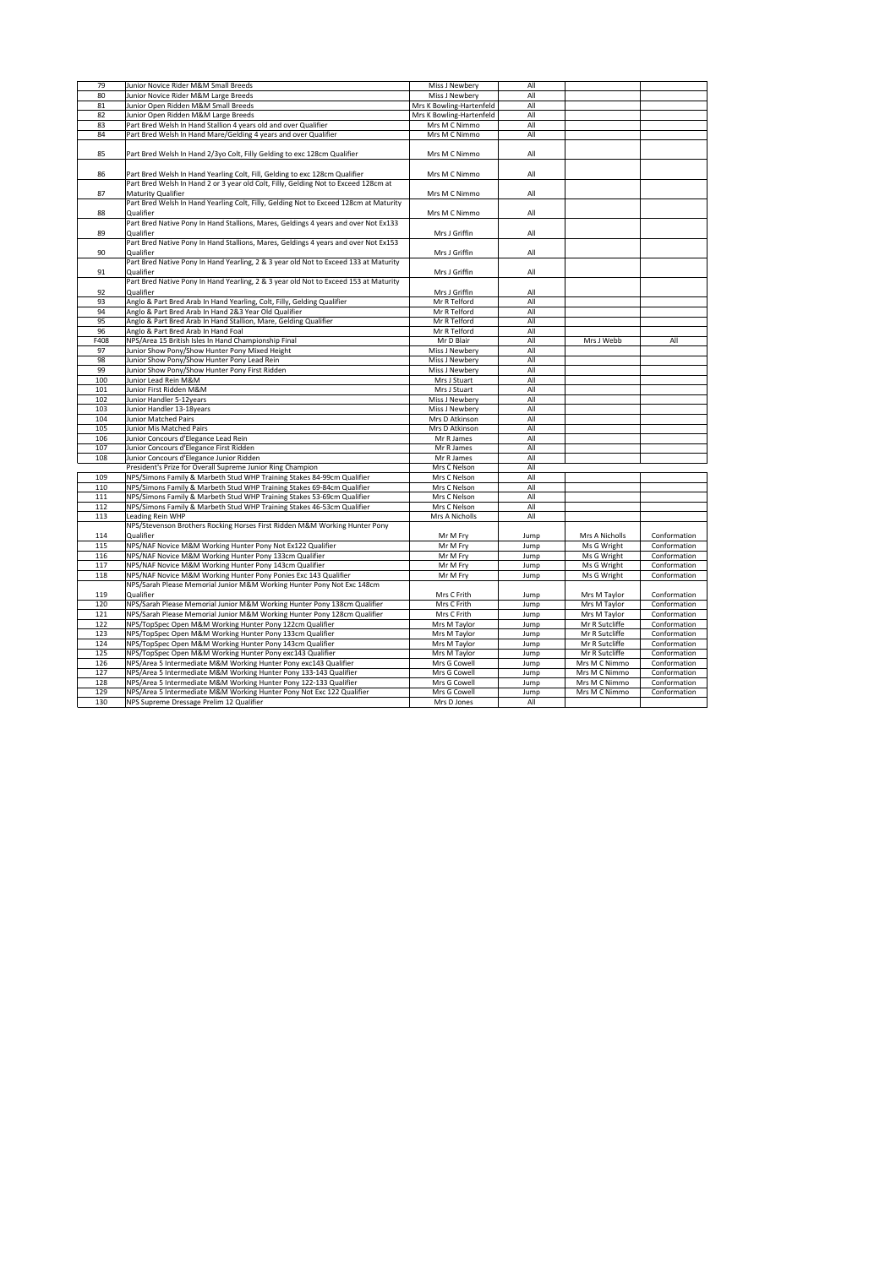| 79   | Junior Novice Rider M&M Small Breeds                                                                      | Miss J Newbery           | All  |                |              |
|------|-----------------------------------------------------------------------------------------------------------|--------------------------|------|----------------|--------------|
| 80   | Junior Novice Rider M&M Large Breeds                                                                      | Miss J Newbery           | All  |                |              |
| 81   | Junior Open Ridden M&M Small Breeds                                                                       | Mrs K Bowling-Hartenfeld | All  |                |              |
| 82   | Junior Open Ridden M&M Large Breeds                                                                       | Mrs K Bowling-Hartenfeld | All  |                |              |
| 83   | Part Bred Welsh In Hand Stallion 4 years old and over Qualifier                                           | Mrs M C Nimmo            | All  |                |              |
| 84   | Part Bred Welsh In Hand Mare/Gelding 4 years and over Qualifier                                           | Mrs M C Nimmo            | All  |                |              |
|      |                                                                                                           |                          |      |                |              |
| 85   | Part Bred Welsh In Hand 2/3yo Colt, Filly Gelding to exc 128cm Qualifier                                  | Mrs M C Nimmo            | All  |                |              |
| 86   | Part Bred Welsh In Hand Yearling Colt, Fill, Gelding to exc 128cm Qualifier                               | Mrs M C Nimmo            | All  |                |              |
| 87   | Part Bred Welsh In Hand 2 or 3 year old Colt, Filly, Gelding Not to Exceed 128cm at<br>Maturity Qualifier | Mrs M C Nimmo            | All  |                |              |
| 88   | Part Bred Welsh In Hand Yearling Colt, Filly, Gelding Not to Exceed 128cm at Maturity<br>Qualifier        | Mrs M C Nimmo            | All  |                |              |
| 89   | Part Bred Native Pony In Hand Stallions, Mares, Geldings 4 years and over Not Ex133<br><b>Qualifier</b>   | Mrs J Griffin            | All  |                |              |
| 90   | Part Bred Native Pony In Hand Stallions, Mares, Geldings 4 years and over Not Ex153<br><b>Qualifier</b>   | Mrs J Griffin            | All  |                |              |
|      | Part Bred Native Pony In Hand Yearling, 2 & 3 year old Not to Exceed 133 at Maturity                      |                          |      |                |              |
| 91   | Qualifier                                                                                                 | Mrs J Griffin            | All  |                |              |
| 92   | Part Bred Native Pony In Hand Yearling, 2 & 3 year old Not to Exceed 153 at Maturity<br><b>Qualifier</b>  | Mrs J Griffin            | All  |                |              |
| 93   | Anglo & Part Bred Arab In Hand Yearling, Colt, Filly, Gelding Qualifier                                   | Mr R Telford             | All  |                |              |
| 94   | Anglo & Part Bred Arab In Hand 2&3 Year Old Qualifier                                                     | Mr R Telford             | All  |                |              |
| 95   | Anglo & Part Bred Arab In Hand Stallion, Mare, Gelding Qualifier                                          | Mr R Telford             | All  |                |              |
| 96   | Anglo & Part Bred Arab In Hand Foal                                                                       | Mr R Telford             | All  |                |              |
| F408 | NPS/Area 15 British Isles In Hand Championship Final                                                      | Mr D Blair               | All  | Mrs J Webb     | All          |
|      |                                                                                                           |                          |      |                |              |
| 97   | Junior Show Pony/Show Hunter Pony Mixed Height                                                            | Miss J Newbery           | All  |                |              |
| 98   | Junior Show Pony/Show Hunter Pony Lead Rein                                                               | Miss J Newbery           | All  |                |              |
| 99   | Junior Show Pony/Show Hunter Pony First Ridden                                                            | Miss J Newbery           | All  |                |              |
| 100  | Junior Lead Rein M&M                                                                                      | Mrs J Stuart             | All  |                |              |
| 101  | Junior First Ridden M&M                                                                                   | Mrs J Stuart             | All  |                |              |
| 102  | Junior Handler 5-12years                                                                                  | Miss J Newbery           | All  |                |              |
| 103  | Junior Handler 13-18years                                                                                 | Miss J Newbery           | All  |                |              |
| 104  | <b>Junior Matched Pairs</b>                                                                               | Mrs D Atkinson           | All  |                |              |
| 105  | <b>Junior Mis Matched Pairs</b>                                                                           | Mrs D Atkinson           | All  |                |              |
| 106  | Junior Concours d'Elegance Lead Rein                                                                      | Mr R James               | All  |                |              |
| 107  | Junior Concours d'Elegance First Ridden                                                                   | Mr R James               | All  |                |              |
| 108  | Junior Concours d'Elegance Junior Ridden                                                                  | Mr R James               | All  |                |              |
|      | President's Prize for Overall Supreme Junior Ring Champion                                                | Mrs C Nelson             | All  |                |              |
| 109  | NPS/Simons Family & Marbeth Stud WHP Training Stakes 84-99cm Qualifier                                    | Mrs C Nelson             | All  |                |              |
| 110  | NPS/Simons Family & Marbeth Stud WHP Training Stakes 69-84cm Qualifier                                    | Mrs C Nelson             | All  |                |              |
| 111  | NPS/Simons Family & Marbeth Stud WHP Training Stakes 53-69cm Qualifier                                    | Mrs C Nelson             | All  |                |              |
| 112  | NPS/Simons Family & Marbeth Stud WHP Training Stakes 46-53cm Qualifier                                    | Mrs C Nelson             | All  |                |              |
| 113  | Leading Rein WHP                                                                                          | Mrs A Nicholls           | All  |                |              |
| 114  | NPS/Stevenson Brothers Rocking Horses First Ridden M&M Working Hunter Pony<br><b>Qualifier</b>            | Mr M Fry                 | Jump | Mrs A Nicholls | Conformation |
| 115  | NPS/NAF Novice M&M Working Hunter Pony Not Ex122 Qualifier                                                | Mr M Fry                 | Jump | Ms G Wright    | Conformation |
| 116  | NPS/NAF Novice M&M Working Hunter Pony 133cm Qualifier                                                    | Mr M Fry                 | Jump | Ms G Wright    | Conformation |
| 117  | NPS/NAF Novice M&M Working Hunter Pony 143cm Qualifier                                                    | Mr M Fry                 | Jump | Ms G Wright    | Conformation |
| 118  | NPS/NAF Novice M&M Working Hunter Pony Ponies Exc 143 Qualifier                                           | Mr M Fry                 | Jump | Ms G Wright    | Conformation |
|      | NPS/Sarah Please Memorial Junior M&M Working Hunter Pony Not Exc 148cm                                    |                          |      |                |              |
| 119  | Qualifier                                                                                                 | Mrs C Frith              | Jump | Mrs M Taylor   | Conformation |
| 120  | NPS/Sarah Please Memorial Junior M&M Working Hunter Pony 138cm Qualifier                                  | Mrs C Frith              | Jump | Mrs M Taylor   | Conformation |
| 121  | NPS/Sarah Please Memorial Junior M&M Working Hunter Pony 128cm Qualifier                                  | Mrs C Frith              | Jump | Mrs M Taylor   | Conformation |
| 122  | NPS/TopSpec Open M&M Working Hunter Pony 122cm Qualifier                                                  | Mrs M Taylor             | Jump | Mr R Sutcliffe | Conformation |
| 123  | NPS/TopSpec Open M&M Working Hunter Pony 133cm Qualifier                                                  | Mrs M Taylor             | Jump | Mr R Sutcliffe | Conformation |
| 124  | NPS/TopSpec Open M&M Working Hunter Pony 143cm Qualifier                                                  | Mrs M Taylor             | Jump | Mr R Sutcliffe | Conformation |
| 125  | NPS/TopSpec Open M&M Working Hunter Pony exc143 Qualifier                                                 | Mrs M Taylor             | Jump | Mr R Sutcliffe | Conformation |
| 126  | NPS/Area 5 Intermediate M&M Working Hunter Pony exc143 Qualifier                                          | Mrs G Cowell             | Jump | Mrs M C Nimmo  | Conformation |
| 127  | NPS/Area 5 Intermediate M&M Working Hunter Pony 133-143 Qualifier                                         | Mrs G Cowell             | Jump | Mrs M C Nimmo  | Conformation |
| 128  | NPS/Area 5 Intermediate M&M Working Hunter Pony 122-133 Qualifier                                         | Mrs G Cowell             | Jump | Mrs M C Nimmo  | Conformation |
| 129  | NPS/Area 5 Intermediate M&M Working Hunter Pony Not Exc 122 Qualifier                                     | Mrs G Cowell             | Jump | Mrs M C Nimmo  | Conformation |
| 130  | NPS Supreme Dressage Prelim 12 Qualifier                                                                  | Mrs D Jones              | All  |                |              |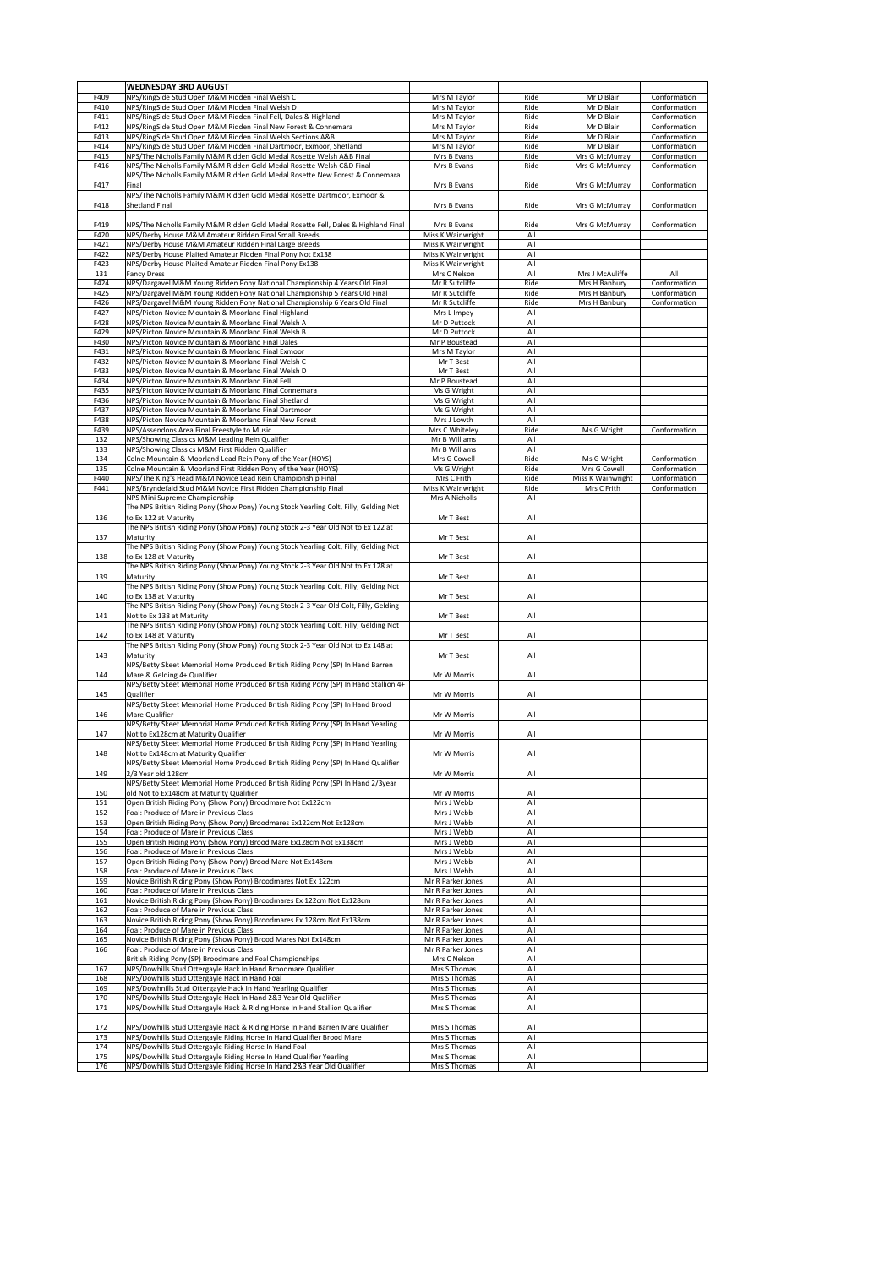|              | <b>WEDNESDAY 3RD AUGUST</b>                                                                                                                              |                                        |              |                                |                              |
|--------------|----------------------------------------------------------------------------------------------------------------------------------------------------------|----------------------------------------|--------------|--------------------------------|------------------------------|
| F409         | NPS/RingSide Stud Open M&M Ridden Final Welsh C                                                                                                          | Mrs M Taylor                           | Ride         | Mr D Blair                     | Conformation                 |
| F410         | NPS/RingSide Stud Open M&M Ridden Final Welsh D                                                                                                          | Mrs M Taylor                           | Ride         | Mr D Blair                     | Conformation                 |
| F411         | NPS/RingSide Stud Open M&M Ridden Final Fell, Dales & Highland                                                                                           | Mrs M Taylor                           | Ride         | Mr D Blair                     | Conformation                 |
| F412         | NPS/RingSide Stud Open M&M Ridden Final New Forest & Connemara                                                                                           | Mrs M Taylor                           | Ride         | Mr D Blair                     | Conformation                 |
| F413         | NPS/RingSide Stud Open M&M Ridden Final Welsh Sections A&B                                                                                               | Mrs M Taylor                           | Ride         | Mr D Blair                     | Conformation                 |
| F414         | NPS/RingSide Stud Open M&M Ridden Final Dartmoor, Exmoor, Shetland                                                                                       | Mrs M Taylor                           | Ride         | Mr D Blair                     | Conformation                 |
| F415         | NPS/The Nicholls Family M&M Ridden Gold Medal Rosette Welsh A&B Final                                                                                    | Mrs B Evans                            | Ride         | Mrs G McMurray                 | Conformation                 |
| F416         | NPS/The Nicholls Family M&M Ridden Gold Medal Rosette Welsh C&D Final<br>NPS/The Nicholls Family M&M Ridden Gold Medal Rosette New Forest & Connemara    | Mrs B Evans                            | Ride         | Mrs G McMurray                 | Conformation                 |
| F417         | Final                                                                                                                                                    | Mrs B Evans                            | Ride         | Mrs G McMurray                 | Conformation                 |
|              | NPS/The Nicholls Family M&M Ridden Gold Medal Rosette Dartmoor, Exmoor &                                                                                 |                                        |              |                                |                              |
| F418         | <b>Shetland Final</b>                                                                                                                                    | Mrs B Evans                            | Ride         | Mrs G McMurray                 | Conformation                 |
|              |                                                                                                                                                          |                                        |              |                                |                              |
| F419         | NPS/The Nicholls Family M&M Ridden Gold Medal Rosette Fell, Dales & Highland Final                                                                       | Mrs B Evans                            | Ride         | Mrs G McMurray                 | Conformation                 |
| F420         | NPS/Derby House M&M Amateur Ridden Final Small Breeds                                                                                                    | Miss K Wainwright                      | All          |                                |                              |
| F421         | NPS/Derby House M&M Amateur Ridden Final Large Breeds                                                                                                    | Miss K Wainwright                      | All          |                                |                              |
| F422         | NPS/Derby House Plaited Amateur Ridden Final Pony Not Ex138                                                                                              | Miss K Wainwright                      | All          |                                |                              |
| F423         | NPS/Derby House Plaited Amateur Ridden Final Pony Ex138                                                                                                  | Miss K Wainwright                      | All          |                                |                              |
| 131          | <b>Fancy Dress</b>                                                                                                                                       | Mrs C Nelson                           | All          | Mrs J McAuliffe                | All                          |
| F424<br>F425 | NPS/Dargavel M&M Young Ridden Pony National Championship 4 Years Old Final<br>NPS/Dargavel M&M Young Ridden Pony National Championship 5 Years Old Final | Mr R Sutcliffe<br>Mr R Sutcliffe       | Ride<br>Ride | Mrs H Banbury<br>Mrs H Banbury | Conformation<br>Conformation |
| F426         | NPS/Dargavel M&M Young Ridden Pony National Championship 6 Years Old Final                                                                               | Mr R Sutcliffe                         | Ride         | Mrs H Banbury                  | Conformation                 |
| F427         | NPS/Picton Novice Mountain & Moorland Final Highland                                                                                                     | Mrs L Impey                            | All          |                                |                              |
| F428         | NPS/Picton Novice Mountain & Moorland Final Welsh A                                                                                                      | Mr D Puttock                           | All          |                                |                              |
| F429         | NPS/Picton Novice Mountain & Moorland Final Welsh B                                                                                                      | Mr D Puttock                           | All          |                                |                              |
| F430         | NPS/Picton Novice Mountain & Moorland Final Dales                                                                                                        | Mr P Boustead                          | All          |                                |                              |
| F431         | NPS/Picton Novice Mountain & Moorland Final Exmoor                                                                                                       | Mrs M Taylor                           | All          |                                |                              |
| F432         | NPS/Picton Novice Mountain & Moorland Final Welsh C                                                                                                      | Mr T Best                              | All          |                                |                              |
| F433         | NPS/Picton Novice Mountain & Moorland Final Welsh D                                                                                                      | Mr T Best                              | All          |                                |                              |
| F434         | NPS/Picton Novice Mountain & Moorland Final Fell                                                                                                         | Mr P Boustead                          | All          |                                |                              |
| F435         | NPS/Picton Novice Mountain & Moorland Final Connemara                                                                                                    | Ms G Wright                            | All          |                                |                              |
| F436         | NPS/Picton Novice Mountain & Moorland Final Shetland                                                                                                     | Ms G Wright                            | All          |                                |                              |
| F437         | NPS/Picton Novice Mountain & Moorland Final Dartmoor                                                                                                     | Ms G Wright                            | All          |                                |                              |
| F438         | NPS/Picton Novice Mountain & Moorland Final New Forest                                                                                                   | Mrs J Lowth                            | All          |                                |                              |
| F439         | NPS/Assendons Area Final Freestyle to Music                                                                                                              | Mrs C Whiteley                         | Ride         | Ms G Wright                    | Conformation                 |
| 132          | NPS/Showing Classics M&M Leading Rein Qualifier                                                                                                          | Mr B Williams                          | All          |                                |                              |
| 133<br>134   | NPS/Showing Classics M&M First Ridden Qualifier<br>Colne Mountain & Moorland Lead Rein Pony of the Year (HOYS)                                           | Mr B Williams<br>Mrs G Cowell          | All<br>Ride  | Ms G Wright                    | Conformation                 |
| 135          | Colne Mountain & Moorland First Ridden Pony of the Year (HOYS)                                                                                           | Ms G Wright                            | Ride         | Mrs G Cowell                   | Conformation                 |
| F440         | NPS/The King's Head M&M Novice Lead Rein Championship Final                                                                                              | Mrs C Frith                            | Ride         | Miss K Wainwright              | Conformation                 |
| F441         | NPS/Bryndefaid Stud M&M Novice First Ridden Championship Final                                                                                           | Miss K Wainwright                      | Ride         | Mrs C Frith                    | Conformation                 |
|              | NPS Mini Supreme Championship                                                                                                                            | Mrs A Nicholls                         | All          |                                |                              |
|              | The NPS British Riding Pony (Show Pony) Young Stock Yearling Colt, Filly, Gelding Not                                                                    |                                        |              |                                |                              |
| 136          | to Ex 122 at Maturity                                                                                                                                    | Mr T Best                              | All          |                                |                              |
|              | The NPS British Riding Pony (Show Pony) Young Stock 2-3 Year Old Not to Ex 122 at                                                                        |                                        |              |                                |                              |
| 137          | Maturity                                                                                                                                                 | Mr T Best                              | All          |                                |                              |
|              | The NPS British Riding Pony (Show Pony) Young Stock Yearling Colt, Filly, Gelding Not                                                                    |                                        |              |                                |                              |
| 138          | to Ex 128 at Maturity<br>The NPS British Riding Pony (Show Pony) Young Stock 2-3 Year Old Not to Ex 128 at                                               | Mr T Best                              | All          |                                |                              |
| 139          |                                                                                                                                                          | Mr T Best                              | All          |                                |                              |
|              | Maturity<br>The NPS British Riding Pony (Show Pony) Young Stock Yearling Colt, Filly, Gelding Not                                                        |                                        |              |                                |                              |
| 140          | to Ex 138 at Maturity                                                                                                                                    | Mr T Best                              | All          |                                |                              |
|              | The NPS British Riding Pony (Show Pony) Young Stock 2-3 Year Old Colt, Filly, Gelding                                                                    |                                        |              |                                |                              |
| 141          | Not to Ex 138 at Maturity                                                                                                                                | Mr T Best                              | All          |                                |                              |
|              | The NPS British Riding Pony (Show Pony) Young Stock Yearling Colt, Filly, Gelding Not                                                                    |                                        |              |                                |                              |
| 142          | to Ex 148 at Maturity                                                                                                                                    | Mr T Best                              | All          |                                |                              |
|              | The NPS British Riding Pony (Show Pony) Young Stock 2-3 Year Old Not to Ex 148 at                                                                        |                                        |              |                                |                              |
| 143          | Maturity                                                                                                                                                 | Mr T Best                              | All          |                                |                              |
|              | NPS/Betty Skeet Memorial Home Produced British Riding Pony (SP) In Hand Barren                                                                           |                                        |              |                                |                              |
| 144          | Mare & Gelding 4+ Qualifier                                                                                                                              | Mr W Morris                            | All          |                                |                              |
| 145          | NPS/Betty Skeet Memorial Home Produced British Riding Pony (SP) In Hand Stallion 4+<br>Qualifier                                                         | Mr W Morris                            | All          |                                |                              |
|              | NPS/Betty Skeet Memorial Home Produced British Riding Pony (SP) In Hand Brood                                                                            |                                        |              |                                |                              |
| 146          | <b>Mare Qualifier</b>                                                                                                                                    | Mr W Morris                            | All          |                                |                              |
|              | NPS/Betty Skeet Memorial Home Produced British Riding Pony (SP) In Hand Yearling                                                                         |                                        |              |                                |                              |
| 147          | Not to Ex128cm at Maturity Qualifier                                                                                                                     | Mr W Morris                            | All          |                                |                              |
|              | NPS/Betty Skeet Memorial Home Produced British Riding Pony (SP) In Hand Yearling                                                                         |                                        |              |                                |                              |
| 148          | Not to Ex148cm at Maturity Qualifier                                                                                                                     | Mr W Morris                            | All          |                                |                              |
|              | NPS/Betty Skeet Memorial Home Produced British Riding Pony (SP) In Hand Qualifier                                                                        |                                        |              |                                |                              |
| 149          | 2/3 Year old 128cm                                                                                                                                       | Mr W Morris                            | All          |                                |                              |
|              | NPS/Betty Skeet Memorial Home Produced British Riding Pony (SP) In Hand 2/3year                                                                          |                                        |              |                                |                              |
| 150          | old Not to Ex148cm at Maturity Qualifier                                                                                                                 | Mr W Morris                            | All          |                                |                              |
| 151          | Open British Riding Pony (Show Pony) Broodmare Not Ex122cm<br>Foal: Produce of Mare in Previous Class                                                    | Mrs J Webb<br>Mrs J Webb               | All<br>All   |                                |                              |
| 152          |                                                                                                                                                          | Mrs J Webb                             | All          |                                |                              |
| 153<br>154   | Open British Riding Pony (Show Pony) Broodmares Ex122cm Not Ex128cm<br>Foal: Produce of Mare in Previous Class                                           | Mrs J Webb                             | All          |                                |                              |
| 155          | Open British Riding Pony (Show Pony) Brood Mare Ex128cm Not Ex138cm                                                                                      | Mrs J Webb                             | All          |                                |                              |
| 156          | Foal: Produce of Mare in Previous Class                                                                                                                  | Mrs J Webb                             | All          |                                |                              |
| 157          | Open British Riding Pony (Show Pony) Brood Mare Not Ex148cm                                                                                              | Mrs J Webb                             | All          |                                |                              |
| 158          | Foal: Produce of Mare in Previous Class                                                                                                                  | Mrs J Webb                             | All          |                                |                              |
| 159          | Novice British Riding Pony (Show Pony) Broodmares Not Ex 122cm                                                                                           | Mr R Parker Jones                      | All          |                                |                              |
| 160          | Foal: Produce of Mare in Previous Class                                                                                                                  | Mr R Parker Jones                      | All          |                                |                              |
| 161          | Novice British Riding Pony (Show Pony) Broodmares Ex 122cm Not Ex128cm                                                                                   | Mr R Parker Jones                      | All          |                                |                              |
| 162          | Foal: Produce of Mare in Previous Class                                                                                                                  | Mr R Parker Jones                      | All          |                                |                              |
| 163          | Novice British Riding Pony (Show Pony) Broodmares Ex 128cm Not Ex138cm                                                                                   | Mr R Parker Jones                      | All          |                                |                              |
| 164<br>165   | Foal: Produce of Mare in Previous Class<br>Novice British Riding Pony (Show Pony) Brood Mares Not Ex148cm                                                | Mr R Parker Jones<br>Mr R Parker Jones | All<br>All   |                                |                              |
| 166          | Foal: Produce of Mare in Previous Class                                                                                                                  | Mr R Parker Jones                      | All          |                                |                              |
|              | British Riding Pony (SP) Broodmare and Foal Championships                                                                                                | Mrs C Nelson                           | All          |                                |                              |
| 167          | NPS/Dowhills Stud Ottergayle Hack In Hand Broodmare Qualifier                                                                                            | Mrs S Thomas                           | All          |                                |                              |
| 168          | NPS/Dowhills Stud Ottergayle Hack In Hand Foal                                                                                                           | Mrs S Thomas                           | All          |                                |                              |
| 169          | NPS/Dowhnills Stud Ottergayle Hack In Hand Yearling Qualifier                                                                                            | Mrs S Thomas                           | All          |                                |                              |
| 170          | NPS/Dowhills Stud Ottergayle Hack In Hand 2&3 Year Old Qualifier                                                                                         | Mrs S Thomas                           | All          |                                |                              |
| 171          | NPS/Dowhills Stud Ottergayle Hack & Riding Horse In Hand Stallion Qualifier                                                                              | Mrs S Thomas                           | All          |                                |                              |
|              |                                                                                                                                                          |                                        |              |                                |                              |
| 172          | NPS/Dowhills Stud Ottergayle Hack & Riding Horse In Hand Barren Mare Qualifier                                                                           | Mrs S Thomas<br>Mrs S Thomas           | All<br>All   |                                |                              |
| 173<br>174   | NPS/Dowhills Stud Ottergayle Riding Horse In Hand Qualifier Brood Mare<br>NPS/Dowhills Stud Ottergayle Riding Horse In Hand Foal                         | Mrs S Thomas                           | All          |                                |                              |
| 175          | NPS/Dowhills Stud Ottergayle Riding Horse In Hand Qualifier Yearling                                                                                     | Mrs S Thomas                           | All          |                                |                              |
| 176          | NPS/Dowhills Stud Ottergayle Riding Horse In Hand 2&3 Year Old Qualifier                                                                                 | Mrs S Thomas                           | All          |                                |                              |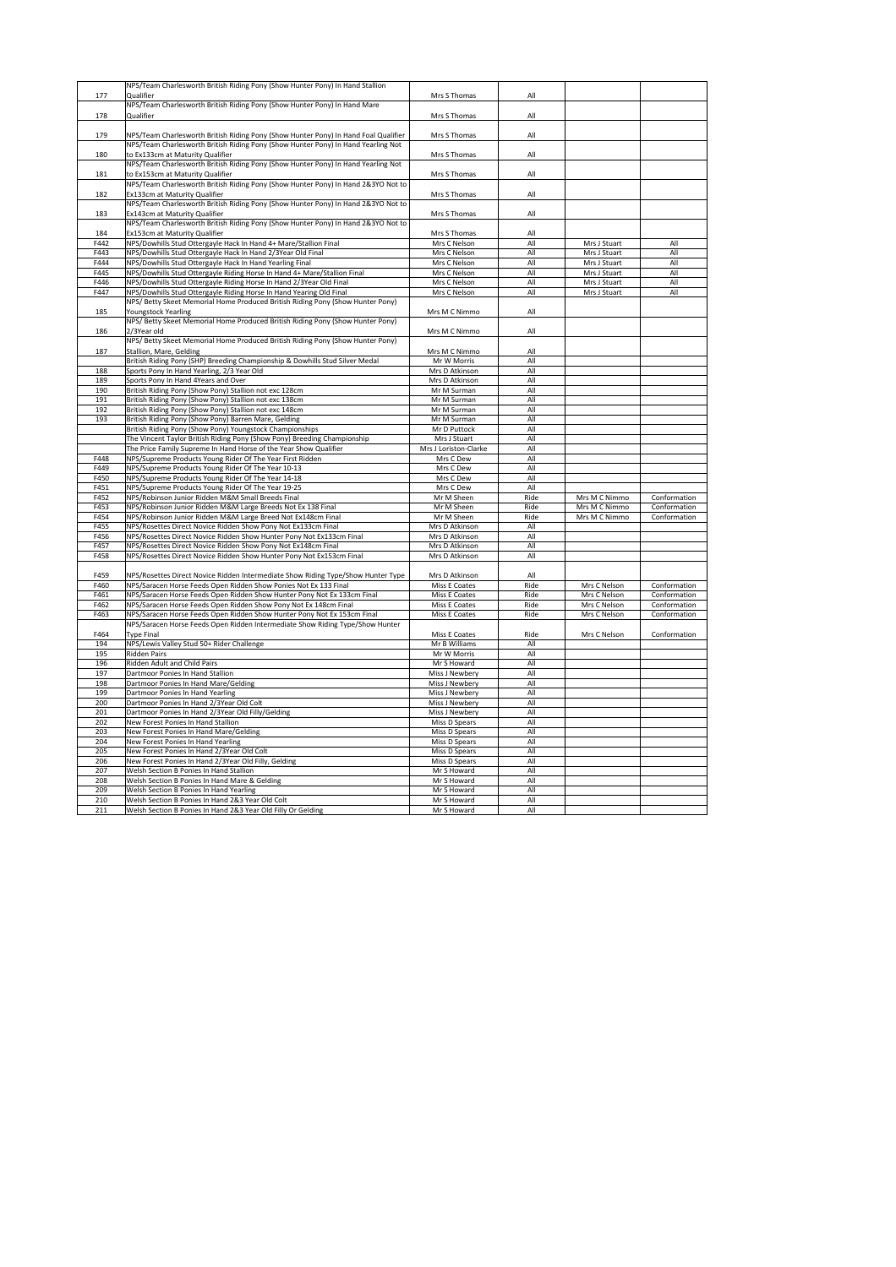|      | NPS/Team Charlesworth British Riding Pony (Show Hunter Pony) In Hand Stallion                                    |                       |            |               |              |
|------|------------------------------------------------------------------------------------------------------------------|-----------------------|------------|---------------|--------------|
| 177  | <b>Qualifier</b>                                                                                                 | Mrs S Thomas          | All        |               |              |
|      |                                                                                                                  |                       |            |               |              |
|      | NPS/Team Charlesworth British Riding Pony (Show Hunter Pony) In Hand Mare                                        |                       |            |               |              |
| 178  | <b>Qualifier</b>                                                                                                 | Mrs S Thomas          | All        |               |              |
|      |                                                                                                                  |                       |            |               |              |
| 179  | NPS/Team Charlesworth British Riding Pony (Show Hunter Pony) In Hand Foal Qualifier                              | Mrs S Thomas          | All        |               |              |
|      |                                                                                                                  |                       |            |               |              |
|      | NPS/Team Charlesworth British Riding Pony (Show Hunter Pony) In Hand Yearling Not                                |                       |            |               |              |
| 180  | to Ex133cm at Maturity Qualifier                                                                                 | Mrs S Thomas          | All        |               |              |
|      | NPS/Team Charlesworth British Riding Pony (Show Hunter Pony) In Hand Yearling Not                                |                       |            |               |              |
|      |                                                                                                                  |                       |            |               |              |
| 181  | to Ex153cm at Maturity Qualifier                                                                                 | Mrs S Thomas          | All        |               |              |
|      | NPS/Team Charlesworth British Riding Pony (Show Hunter Pony) In Hand 2&3YO Not to                                |                       |            |               |              |
| 182  | <b>Ex133cm at Maturity Qualifier</b>                                                                             | Mrs S Thomas          | All        |               |              |
|      | NPS/Team Charlesworth British Riding Pony (Show Hunter Pony) In Hand 2&3YO Not to                                |                       |            |               |              |
|      |                                                                                                                  |                       |            |               |              |
| 183  | <b>Ex143cm at Maturity Qualifier</b>                                                                             | Mrs S Thomas          | All        |               |              |
|      | NPS/Team Charlesworth British Riding Pony (Show Hunter Pony) In Hand 2&3YO Not to                                |                       |            |               |              |
| 184  | <b>Ex153cm at Maturity Qualifier</b>                                                                             | Mrs S Thomas          | All        |               |              |
|      |                                                                                                                  |                       |            |               |              |
| F442 | NPS/Dowhills Stud Ottergayle Hack In Hand 4+ Mare/Stallion Final                                                 | Mrs C Nelson          | All        | Mrs J Stuart  | All          |
| F443 | NPS/Dowhills Stud Ottergayle Hack In Hand 2/3Year Old Final                                                      | Mrs C Nelson          | All        | Mrs J Stuart  | All          |
| F444 | NPS/Dowhills Stud Ottergayle Hack In Hand Yearling Final                                                         | Mrs C Nelson          | All        | Mrs J Stuart  | All          |
| F445 | NPS/Dowhills Stud Ottergayle Riding Horse In Hand 4+ Mare/Stallion Final                                         | Mrs C Nelson          | All        | Mrs J Stuart  | All          |
|      |                                                                                                                  |                       |            |               |              |
| F446 | NPS/Dowhills Stud Ottergayle Riding Horse In Hand 2/3Year Old Final                                              | Mrs C Nelson          | All        | Mrs J Stuart  | All          |
| F447 | NPS/Dowhills Stud Ottergayle Riding Horse In Hand Yearing Old Final                                              | Mrs C Nelson          | All        | Mrs J Stuart  | All          |
|      | NPS/Betty Skeet Memorial Home Produced British Riding Pony (Show Hunter Pony)                                    |                       |            |               |              |
|      |                                                                                                                  |                       |            |               |              |
| 185  | Youngstock Yearling                                                                                              | Mrs M C Nimmo         | All        |               |              |
|      | NPS/ Betty Skeet Memorial Home Produced British Riding Pony (Show Hunter Pony)                                   |                       |            |               |              |
| 186  | 2/3Year old                                                                                                      | Mrs M C Nimmo         | All        |               |              |
|      | NPS/Betty Skeet Memorial Home Produced British Riding Pony (Show Hunter Pony)                                    |                       |            |               |              |
|      |                                                                                                                  |                       |            |               |              |
| 187  | Stallion, Mare, Gelding                                                                                          | Mrs M C Nimmo         | All        |               |              |
|      | British Riding Pony (SHP) Breeding Championship & Dowhills Stud Silver Medal                                     | Mr W Morris           | All        |               |              |
| 188  | Sports Pony In Hand Yearling, 2/3 Year Old                                                                       | Mrs D Atkinson        | All        |               |              |
|      |                                                                                                                  |                       |            |               |              |
| 189  | Sports Pony In Hand 4Years and Over                                                                              | Mrs D Atkinson        | All        |               |              |
| 190  | British Riding Pony (Show Pony) Stallion not exc 128cm                                                           | Mr M Surman           | All        |               |              |
| 191  | British Riding Pony (Show Pony) Stallion not exc 138cm                                                           | Mr M Surman           | All        |               |              |
|      |                                                                                                                  |                       |            |               |              |
| 192  | British Riding Pony (Show Pony) Stallion not exc 148cm                                                           | Mr M Surman           | All        |               |              |
| 193  | British Riding Pony (Show Pony) Barren Mare, Gelding                                                             | Mr M Surman           | All        |               |              |
|      | British Riding Pony (Show Pony) Youngstock Championships                                                         | Mr D Puttock          | All        |               |              |
|      |                                                                                                                  | Mrs J Stuart          | All        |               |              |
|      | The Vincent Taylor British Riding Pony (Show Pony) Breeding Championship                                         |                       |            |               |              |
|      | The Price Family Supreme In Hand Horse of the Year Show Qualifier                                                | Mrs J Loriston-Clarke | All        |               |              |
| F448 | NPS/Supreme Products Young Rider Of The Year First Ridden                                                        | Mrs C Dew             | All        |               |              |
| F449 | NPS/Supreme Products Young Rider Of The Year 10-13                                                               | Mrs C Dew             | All        |               |              |
|      |                                                                                                                  |                       |            |               |              |
| F450 | NPS/Supreme Products Young Rider Of The Year 14-18                                                               | Mrs C Dew             | All        |               |              |
| F451 | NPS/Supreme Products Young Rider Of The Year 19-25                                                               | Mrs C Dew             | All        |               |              |
| F452 | NPS/Robinson Junior Ridden M&M Small Breeds Final                                                                | Mr M Sheen            | Ride       | Mrs M C Nimmo | Conformation |
| F453 | NPS/Robinson Junior Ridden M&M Large Breeds Not Ex 138 Final                                                     | Mr M Sheen            | Ride       | Mrs M C Nimmo | Conformation |
|      |                                                                                                                  |                       |            |               |              |
| F454 | NPS/Robinson Junior Ridden M&M Large Breed Not Ex148cm Final                                                     |                       |            |               |              |
| F455 |                                                                                                                  | Mr M Sheen            | Ride       | Mrs M C Nimmo | Conformation |
|      | NPS/Rosettes Direct Novice Ridden Show Pony Not Ex133cm Final                                                    | Mrs D Atkinson        | All        |               |              |
|      |                                                                                                                  |                       |            |               |              |
| F456 | NPS/Rosettes Direct Novice Ridden Show Hunter Pony Not Ex133cm Final                                             | Mrs D Atkinson        | All        |               |              |
| F457 | NPS/Rosettes Direct Novice Ridden Show Pony Not Ex148cm Final                                                    | Mrs D Atkinson        | All        |               |              |
| F458 | NPS/Rosettes Direct Novice Ridden Show Hunter Pony Not Ex153cm Final                                             | Mrs D Atkinson        | All        |               |              |
|      |                                                                                                                  |                       |            |               |              |
|      |                                                                                                                  |                       |            |               |              |
| F459 | NPS/Rosettes Direct Novice Ridden Intermediate Show Riding Type/Show Hunter Type                                 | Mrs D Atkinson        | All        |               |              |
| F460 | NPS/Saracen Horse Feeds Open Ridden Show Ponies Not Ex 133 Final                                                 | Miss E Coates         | Ride       | Mrs C Nelson  | Conformation |
| F461 | NPS/Saracen Horse Feeds Open Ridden Show Hunter Pony Not Ex 133cm Final                                          | Miss E Coates         | Ride       | Mrs C Nelson  | Conformation |
| F462 | NPS/Saracen Horse Feeds Open Ridden Show Pony Not Ex 148cm Final                                                 | Miss E Coates         | Ride       | Mrs C Nelson  | Conformation |
|      |                                                                                                                  |                       |            |               |              |
| F463 | NPS/Saracen Horse Feeds Open Ridden Show Hunter Pony Not Ex 153cm Final                                          | Miss E Coates         | Ride       | Mrs C Nelson  | Conformation |
|      | NPS/Saracen Horse Feeds Open Ridden Intermediate Show Riding Type/Show Hunter                                    |                       |            |               |              |
| F464 | <b>Type Final</b>                                                                                                | Miss E Coates         | Ride       | Mrs C Nelson  | Conformation |
|      |                                                                                                                  |                       |            |               |              |
| 194  | NPS/Lewis Valley Stud 50+ Rider Challenge                                                                        | Mr B Williams         | All        |               |              |
| 195  | <b>Ridden Pairs</b>                                                                                              | Mr W Morris           | All        |               |              |
| 196  | <b>Ridden Adult and Child Pairs</b>                                                                              | Mr S Howard           | All        |               |              |
|      | Dartmoor Ponies In Hand Stallion                                                                                 |                       | All        |               |              |
| 197  |                                                                                                                  | Miss J Newbery        |            |               |              |
| 198  | Dartmoor Ponies In Hand Mare/Gelding                                                                             | Miss J Newbery        | All        |               |              |
| 199  | Dartmoor Ponies In Hand Yearling                                                                                 | Miss J Newbery        | All        |               |              |
| 200  | Dartmoor Ponies In Hand 2/3Year Old Colt                                                                         | Miss J Newbery        | All        |               |              |
|      |                                                                                                                  |                       |            |               |              |
| 201  | Dartmoor Ponies In Hand 2/3Year Old Filly/Gelding                                                                | Miss J Newbery        | All        |               |              |
| 202  | New Forest Ponies In Hand Stallion                                                                               | Miss D Spears         | All        |               |              |
| 203  | New Forest Ponies In Hand Mare/Gelding                                                                           | Miss D Spears         | All        |               |              |
| 204  | New Forest Ponies In Hand Yearling                                                                               |                       | All        |               |              |
|      |                                                                                                                  | Miss D Spears         |            |               |              |
| 205  | New Forest Ponies In Hand 2/3Year Old Colt                                                                       | Miss D Spears         | All        |               |              |
| 206  | New Forest Ponies In Hand 2/3Year Old Filly, Gelding                                                             | Miss D Spears         | All        |               |              |
| 207  | <b>Welsh Section B Ponies In Hand Stallion</b>                                                                   | Mr S Howard           | All        |               |              |
|      |                                                                                                                  |                       |            |               |              |
| 208  | Welsh Section B Ponies In Hand Mare & Gelding                                                                    | Mr S Howard           | All        |               |              |
| 209  | <b>Welsh Section B Ponies In Hand Yearling</b>                                                                   | Mr S Howard           | All        |               |              |
| 210  | Welsh Section B Ponies In Hand 2&3 Year Old Colt<br>Welsh Section B Ponies In Hand 2&3 Year Old Filly Or Gelding | Mr S Howard           | All<br>All |               |              |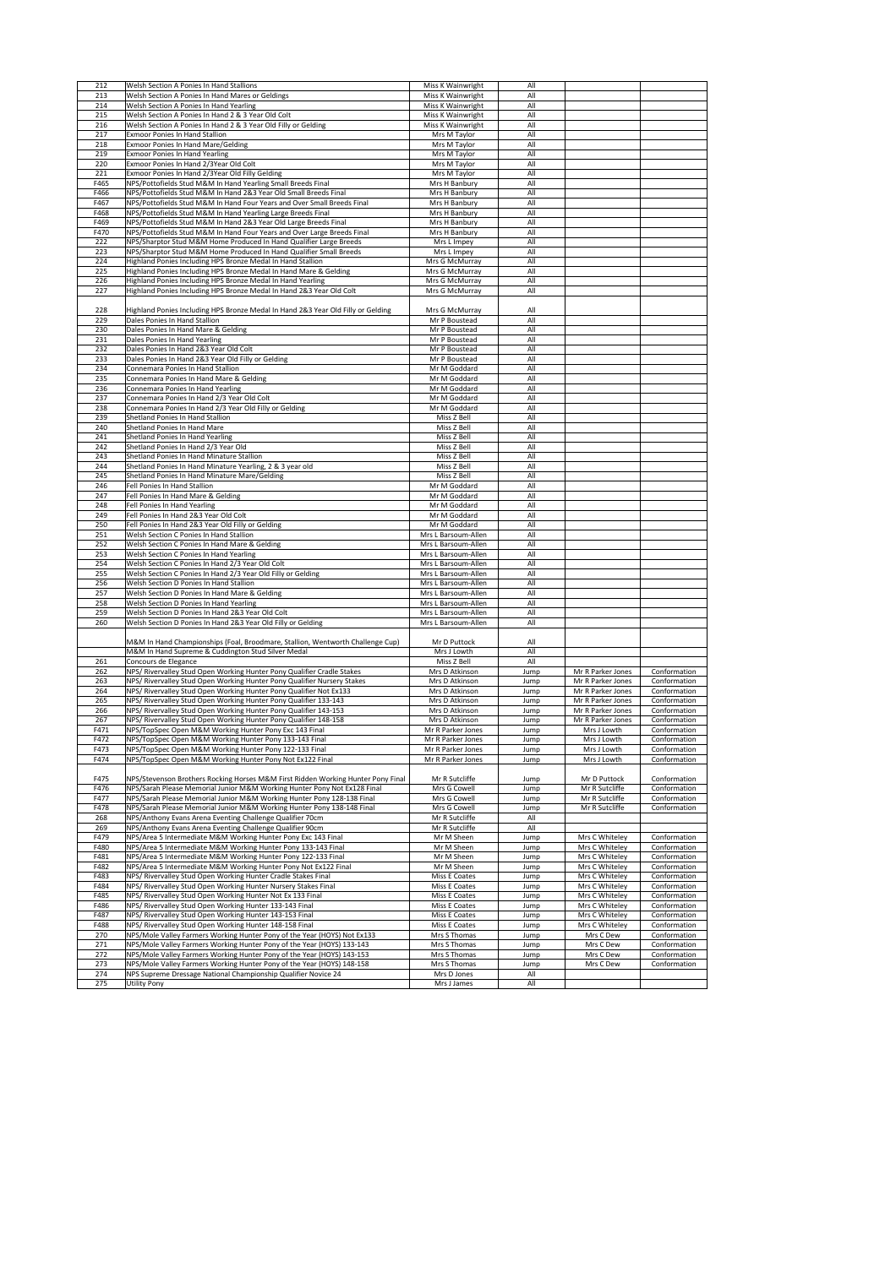| 212        | <b>Welsh Section A Ponies In Hand Stallions</b>                                               | Miss K Wainwright          | All        |                   |              |
|------------|-----------------------------------------------------------------------------------------------|----------------------------|------------|-------------------|--------------|
|            |                                                                                               |                            |            |                   |              |
| 213        | Welsh Section A Ponies In Hand Mares or Geldings                                              | Miss K Wainwright          | All        |                   |              |
| 214        | Welsh Section A Ponies In Hand Yearling                                                       | Miss K Wainwright          | All        |                   |              |
| 215        | Welsh Section A Ponies In Hand 2 & 3 Year Old Colt                                            | Miss K Wainwright          | All        |                   |              |
|            |                                                                                               |                            |            |                   |              |
| 216        | Welsh Section A Ponies In Hand 2 & 3 Year Old Filly or Gelding                                | Miss K Wainwright          | All        |                   |              |
| 217        | <b>Exmoor Ponies In Hand Stallion</b>                                                         | Mrs M Taylor               | All        |                   |              |
| 218        | <b>Exmoor Ponies In Hand Mare/Gelding</b>                                                     |                            | All        |                   |              |
|            |                                                                                               | Mrs M Taylor               |            |                   |              |
| 219        | <b>Exmoor Ponies In Hand Yearling</b>                                                         | Mrs M Taylor               | All        |                   |              |
| 220        | Exmoor Ponies In Hand 2/3Year Old Colt                                                        | Mrs M Taylor               | All        |                   |              |
|            |                                                                                               |                            |            |                   |              |
| 221        | Exmoor Ponies In Hand 2/3Year Old Filly Gelding                                               | Mrs M Taylor               | All        |                   |              |
| F465       | NPS/Pottofields Stud M&M In Hand Yearling Small Breeds Final                                  | Mrs H Banbury              | All        |                   |              |
| F466       | NPS/Pottofields Stud M&M In Hand 2&3 Year Old Small Breeds Final                              | Mrs H Banbury              | All        |                   |              |
|            |                                                                                               |                            |            |                   |              |
| F467       | NPS/Pottofields Stud M&M In Hand Four Years and Over Small Breeds Final                       | Mrs H Banbury              | All        |                   |              |
| F468       | NPS/Pottofields Stud M&M In Hand Yearling Large Breeds Final                                  | Mrs H Banbury              | All        |                   |              |
| F469       | NPS/Pottofields Stud M&M In Hand 2&3 Year Old Large Breeds Final                              | Mrs H Banbury              | All        |                   |              |
|            |                                                                                               |                            |            |                   |              |
| F470       | NPS/Pottofields Stud M&M In Hand Four Years and Over Large Breeds Final                       | Mrs H Banbury              | All        |                   |              |
| 222        | NPS/Sharptor Stud M&M Home Produced In Hand Qualifier Large Breeds                            | Mrs L Impey                | All        |                   |              |
| 223        | NPS/Sharptor Stud M&M Home Produced In Hand Qualifier Small Breeds                            | Mrs L Impey                | All        |                   |              |
|            |                                                                                               |                            |            |                   |              |
| 224        | Highland Ponies Including HPS Bronze Medal In Hand Stallion                                   | Mrs G McMurray             | All        |                   |              |
| 225        | Highland Ponies Including HPS Bronze Medal In Hand Mare & Gelding                             | Mrs G McMurray             | All        |                   |              |
| 226        |                                                                                               |                            | All        |                   |              |
|            | Highland Ponies Including HPS Bronze Medal In Hand Yearling                                   | Mrs G McMurray             |            |                   |              |
| 227        | Highland Ponies Including HPS Bronze Medal In Hand 2&3 Year Old Colt                          | Mrs G McMurray             | All        |                   |              |
|            |                                                                                               |                            |            |                   |              |
|            |                                                                                               |                            |            |                   |              |
| 228        | Highland Ponies Including HPS Bronze Medal In Hand 2&3 Year Old Filly or Gelding              | Mrs G McMurray             | All        |                   |              |
| 229        | Dales Ponies In Hand Stallion                                                                 | Mr P Boustead              | All        |                   |              |
| 230        |                                                                                               | Mr P Boustead              | All        |                   |              |
|            | Dales Ponies In Hand Mare & Gelding                                                           |                            |            |                   |              |
| 231        | Dales Ponies In Hand Yearling                                                                 | Mr P Boustead              | All        |                   |              |
| 232        | Dales Ponies In Hand 2&3 Year Old Colt                                                        | Mr P Boustead              | All        |                   |              |
|            |                                                                                               | Mr P Boustead              |            |                   |              |
| 233        | Dales Ponies In Hand 2&3 Year Old Filly or Gelding                                            |                            | All        |                   |              |
| 234        | Connemara Ponies In Hand Stallion                                                             | Mr M Goddard               | All        |                   |              |
| 235        | Connemara Ponies In Hand Mare & Gelding                                                       | Mr M Goddard               | All        |                   |              |
|            |                                                                                               |                            |            |                   |              |
| 236        | Connemara Ponies In Hand Yearling                                                             | Mr M Goddard               | All        |                   |              |
| 237        | Connemara Ponies In Hand 2/3 Year Old Colt                                                    | Mr M Goddard               | All        |                   |              |
| 238        | Connemara Ponies In Hand 2/3 Year Old Filly or Gelding                                        | Mr M Goddard               | All        |                   |              |
|            |                                                                                               |                            |            |                   |              |
| 239        | Shetland Ponies In Hand Stallion                                                              | Miss Z Bell                | All        |                   |              |
| 240        | Shetland Ponies In Hand Mare                                                                  | Miss Z Bell                | All        |                   |              |
|            |                                                                                               |                            |            |                   |              |
| 241        | Shetland Ponies In Hand Yearling                                                              | Miss Z Bell                | All        |                   |              |
| 242        | Shetland Ponies In Hand 2/3 Year Old                                                          | Miss Z Bell                | All        |                   |              |
| 243        | Shetland Ponies In Hand Minature Stallion                                                     | Miss Z Bell                | All        |                   |              |
|            |                                                                                               |                            |            |                   |              |
| 244        | Shetland Ponies In Hand Minature Yearling, 2 & 3 year old                                     | Miss Z Bell                | All        |                   |              |
| 245        | Shetland Ponies In Hand Minature Mare/Gelding                                                 | Miss Z Bell                | All        |                   |              |
| 246        | Fell Ponies In Hand Stallion                                                                  | Mr M Goddard               | All        |                   |              |
|            |                                                                                               |                            |            |                   |              |
| 247        | Fell Ponies In Hand Mare & Gelding                                                            | Mr M Goddard               | All        |                   |              |
| 248        | Fell Ponies In Hand Yearling                                                                  | Mr M Goddard               | All        |                   |              |
| 249        | Fell Ponies In Hand 2&3 Year Old Colt                                                         | Mr M Goddard               | All        |                   |              |
|            |                                                                                               |                            |            |                   |              |
| 250        | Fell Ponies In Hand 2&3 Year Old Filly or Gelding                                             | Mr M Goddard               | All        |                   |              |
| 251        | <b>Welsh Section C Ponies In Hand Stallion</b>                                                | Mrs L Barsoum-Allen        | All        |                   |              |
|            |                                                                                               |                            |            |                   |              |
| 252        | Welsh Section C Ponies In Hand Mare & Gelding                                                 | Mrs L Barsoum-Allen        | All        |                   |              |
| 253        | Welsh Section C Ponies In Hand Yearling                                                       | Mrs L Barsoum-Allen        | All        |                   |              |
|            |                                                                                               |                            |            |                   |              |
|            |                                                                                               |                            |            |                   |              |
| 254        | Welsh Section C Ponies In Hand 2/3 Year Old Colt                                              | Mrs L Barsoum-Allen        | All        |                   |              |
| 255        | Welsh Section C Ponies In Hand 2/3 Year Old Filly or Gelding                                  | Mrs L Barsoum-Allen        | All        |                   |              |
|            |                                                                                               |                            |            |                   |              |
| 256        | Welsh Section D Ponies In Hand Stallion                                                       | Mrs L Barsoum-Allen        | All        |                   |              |
| 257        | Welsh Section D Ponies In Hand Mare & Gelding                                                 | Mrs L Barsoum-Allen        | All        |                   |              |
| 258        | Welsh Section D Ponies In Hand Yearling                                                       | Mrs L Barsoum-Allen        | All        |                   |              |
|            |                                                                                               |                            |            |                   |              |
| 259        | Welsh Section D Ponies In Hand 2&3 Year Old Colt                                              | Mrs L Barsoum-Allen        | All        |                   |              |
| 260        | Welsh Section D Ponies In Hand 2&3 Year Old Filly or Gelding                                  | Mrs L Barsoum-Allen        | All        |                   |              |
|            |                                                                                               |                            |            |                   |              |
|            |                                                                                               |                            |            |                   |              |
|            | M&M In Hand Championships (Foal, Broodmare, Stallion, Wentworth Challenge Cup)                | Mr D Puttock               | All        |                   |              |
|            | M&M In Hand Supreme & Cuddington Stud Silver Medal                                            | Mrs J Lowth                | All        |                   |              |
| 261        | Concours de Elegance                                                                          | Miss Z Bell                | All        |                   |              |
|            |                                                                                               |                            |            |                   |              |
| 262        | NPS/ Rivervalley Stud Open Working Hunter Pony Qualifier Cradle Stakes                        | Mrs D Atkinson             | Jump       | Mr R Parker Jones | Conformation |
| 263        | NPS/ Rivervalley Stud Open Working Hunter Pony Qualifier Nursery Stakes                       | Mrs D Atkinson             | Jump       | Mr R Parker Jones | Conformation |
|            |                                                                                               | Mrs D Atkinson             |            | Mr R Parker Jones |              |
| 264        | NPS/ Rivervalley Stud Open Working Hunter Pony Qualifier Not Ex133                            |                            | Jump       |                   | Conformation |
| 265        | NPS/ Rivervalley Stud Open Working Hunter Pony Qualifier 133-143                              | Mrs D Atkinson             | Jump       | Mr R Parker Jones | Conformation |
| 266        | NPS/ Rivervalley Stud Open Working Hunter Pony Qualifier 143-153                              | Mrs D Atkinson             | Jump       | Mr R Parker Jones | Conformation |
|            |                                                                                               | Mrs D Atkinson             |            |                   | Conformation |
| 267        | NPS/ Rivervalley Stud Open Working Hunter Pony Qualifier 148-158                              |                            | Jump       | Mr R Parker Jones |              |
| F471       | NPS/TopSpec Open M&M Working Hunter Pony Exc 143 Final                                        | Mr R Parker Jones          | Jump       | Mrs J Lowth       | Conformation |
| F472       | NPS/TopSpec Open M&M Working Hunter Pony 133-143 Final                                        | Mr R Parker Jones          | Jump       | Mrs J Lowth       | Conformation |
|            |                                                                                               |                            |            |                   |              |
| F473       | NPS/TopSpec Open M&M Working Hunter Pony 122-133 Final                                        | Mr R Parker Jones          | Jump       | Mrs J Lowth       | Conformation |
| F474       | NPS/TopSpec Open M&M Working Hunter Pony Not Ex122 Final                                      | Mr R Parker Jones          | Jump       | Mrs J Lowth       | Conformation |
|            |                                                                                               |                            |            |                   |              |
|            |                                                                                               |                            |            |                   |              |
| F475       | <b>INPS/Stevenson Brothers Rocking Horses M&amp;M First Ridden Working Hunter Pony Final</b>  | Mr R Sutcliffe             | Jump       | Mr D Puttock      | Conformation |
| F476       | NPS/Sarah Please Memorial Junior M&M Working Hunter Pony Not Ex128 Final                      | Mrs G Cowell               | Jump       | Mr R Sutcliffe    | Conformation |
| F477       | NPS/Sarah Please Memorial Junior M&M Working Hunter Pony 128-138 Final                        | Mrs G Cowell               | Jump       | Mr R Sutcliffe    | Conformation |
|            |                                                                                               |                            |            |                   |              |
| F478       | NPS/Sarah Please Memorial Junior M&M Working Hunter Pony 138-148 Final                        | Mrs G Cowell               | Jump       | Mr R Sutcliffe    | Conformation |
| 268        | NPS/Anthony Evans Arena Eventing Challenge Qualifier 70cm                                     | Mr R Sutcliffe             | All        |                   |              |
| 269        | NPS/Anthony Evans Arena Eventing Challenge Qualifier 90cm                                     | Mr R Sutcliffe             | All        |                   |              |
|            |                                                                                               |                            |            |                   |              |
| F479       | NPS/Area 5 Intermediate M&M Working Hunter Pony Exc 143 Final                                 | Mr M Sheen                 | Jump       | Mrs C Whiteley    | Conformation |
| F480       | NPS/Area 5 Intermediate M&M Working Hunter Pony 133-143 Final                                 | Mr M Sheen                 | Jump       | Mrs C Whiteley    | Conformation |
|            |                                                                                               |                            |            |                   |              |
| F481       | NPS/Area 5 Intermediate M&M Working Hunter Pony 122-133 Final                                 | Mr M Sheen                 | Jump       | Mrs C Whiteley    | Conformation |
| F482       | NPS/Area 5 Intermediate M&M Working Hunter Pony Not Ex122 Final                               | Mr M Sheen                 | Jump       | Mrs C Whiteley    | Conformation |
| F483       | NPS/ Rivervalley Stud Open Working Hunter Cradle Stakes Final                                 | Miss E Coates              | Jump       | Mrs C Whiteley    | Conformation |
|            |                                                                                               |                            |            |                   |              |
| F484       | NPS/ Rivervalley Stud Open Working Hunter Nursery Stakes Final                                | Miss E Coates              | Jump       | Mrs C Whiteley    | Conformation |
| F485       | NPS/ Rivervalley Stud Open Working Hunter Not Ex 133 Final                                    | Miss E Coates              | Jump       | Mrs C Whiteley    | Conformation |
| F486       | NPS/ Rivervalley Stud Open Working Hunter 133-143 Final                                       | Miss E Coates              | Jump       | Mrs C Whiteley    | Conformation |
|            |                                                                                               |                            |            |                   |              |
| F487       | NPS/ Rivervalley Stud Open Working Hunter 143-153 Final                                       | Miss E Coates              | Jump       | Mrs C Whiteley    | Conformation |
| F488       | NPS/ Rivervalley Stud Open Working Hunter 148-158 Final                                       | Miss E Coates              | Jump       | Mrs C Whiteley    | Conformation |
| 270        |                                                                                               | Mrs S Thomas               |            |                   | Conformation |
|            | NPS/Mole Valley Farmers Working Hunter Pony of the Year (HOYS) Not Ex133                      |                            | Jump       | Mrs C Dew         |              |
| 271        | NPS/Mole Valley Farmers Working Hunter Pony of the Year (HOYS) 133-143                        | Mrs S Thomas               | Jump       | Mrs C Dew         | Conformation |
| 272        | NPS/Mole Valley Farmers Working Hunter Pony of the Year (HOYS) 143-153                        | Mrs S Thomas               | Jump       | Mrs C Dew         | Conformation |
|            |                                                                                               |                            |            |                   |              |
| 273        | NPS/Mole Valley Farmers Working Hunter Pony of the Year (HOYS) 148-158                        | Mrs S Thomas               | Jump       | Mrs C Dew         | Conformation |
| 274<br>275 | <b>INPS Supreme Dressage National Championship Qualifier Novice 24</b><br><b>Utility Pony</b> | Mrs D Jones<br>Mrs J James | All<br>All |                   |              |